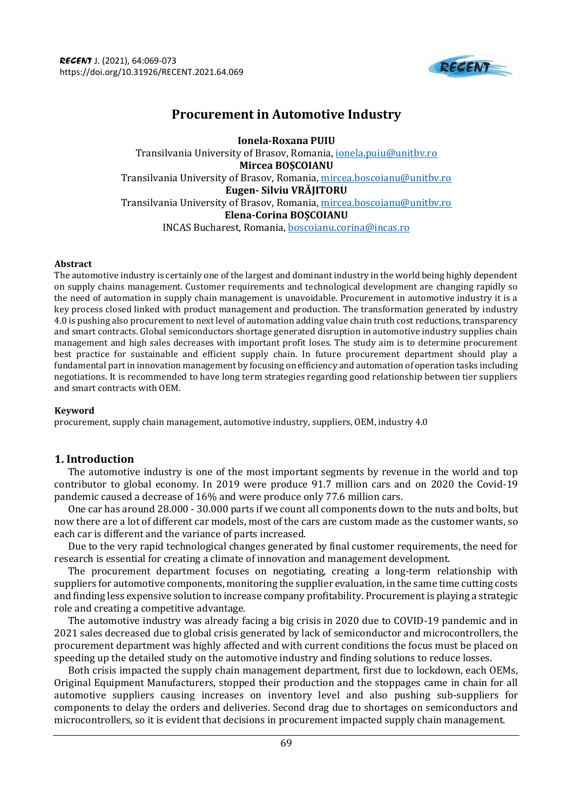

# **Procurement in Automotive Industry**

**Ionela-Roxana PUIU** Transilvania University of Brasov, Romania, [ionela.puiu@unitbv.ro](mailto:ionela.puiu@unitbv.ro) **[Mircea BOȘCOIANU](https://ro.linkedin.com/in/mircea-boscoianu-a158aa153)** Transilvania University of Brasov, Romania, [mircea.boscoianu@unitbv.ro](mailto:mircea.boscoianu@unitbv.ro) **Eugen- [Silviu VRĂJITORU](https://ro.linkedin.com/in/mircea-boscoianu-a158aa153)**  Transilvania University of Brasov, Romania, [mircea.boscoianu@unitbv.ro](mailto:mircea.boscoianu@unitbv.ro) **Elena-Corina BOȘCOIANU** INCAS Bucharest, Romania[, boscoianu.corina@incas.ro](mailto:boscoianu.corina@incas.ro)

### **Abstract**

The automotive industry is certainly one of the largest and dominant industry in the world being highly dependent on supply chains management. Customer requirements and technological development are changing rapidly so the need of automation in supply chain management is unavoidable. Procurement in automotive industry it is a key process closed linked with product management and production. The transformation generated by industry 4.0 is pushing also procurement to next level of automation adding value chain truth cost reductions, transparency and smart contracts. Global semiconductors shortage generated disruption in automotive industry supplies chain management and high sales decreases with important profit loses. The study aim is to determine procurement best practice for sustainable and efficient supply chain. In future procurement department should play a fundamental part in innovation management by focusing on efficiency and automation of operation tasks including negotiations. It is recommended to have long term strategies regarding good relationship between tier suppliers and smart contracts with OEM.

## **Keyword**

procurement, supply chain management, automotive industry, suppliers, OEM, industry 4.0

# **1. Introduction**

The automotive industry is one of the most important segments by revenue in the world and top contributor to global economy. In 2019 were produce 91.7 million cars and on 2020 the Covid-19 pandemic caused a decrease of 16% and were produce only 77.6 million cars.

One car has around 28.000 - 30.000 parts if we count all components down to the nuts and bolts, but now there are a lot of different car models, most of the cars are custom made as the customer wants, so each car is different and the variance of parts increased.

Due to the very rapid technological changes generated by final customer requirements, the need for research is essential for creating a climate of innovation and management development.

The procurement department focuses on negotiating, creating a long-term relationship with suppliers for automotive components, monitoring the supplier evaluation, in the same time cutting costs and finding less expensive solution to increase company profitability. Procurement is playing a strategic role and creating a competitive advantage.

The automotive industry was already facing a big crisis in 2020 due to COVID-19 pandemic and in 2021 sales decreased due to global crisis generated by lack of semiconductor and microcontrollers, the procurement department was highly affected and with current conditions the focus must be placed on speeding up the detailed study on the automotive industry and finding solutions to reduce losses.

Both crisis impacted the supply chain management department, first due to lockdown, each OEMs, Original Equipment Manufacturers, stopped their production and the stoppages came in chain for all automotive suppliers causing increases on inventory level and also pushing sub-suppliers for components to delay the orders and deliveries. Second drag due to shortages on semiconductors and microcontrollers, so it is evident that decisions in procurement impacted supply chain management.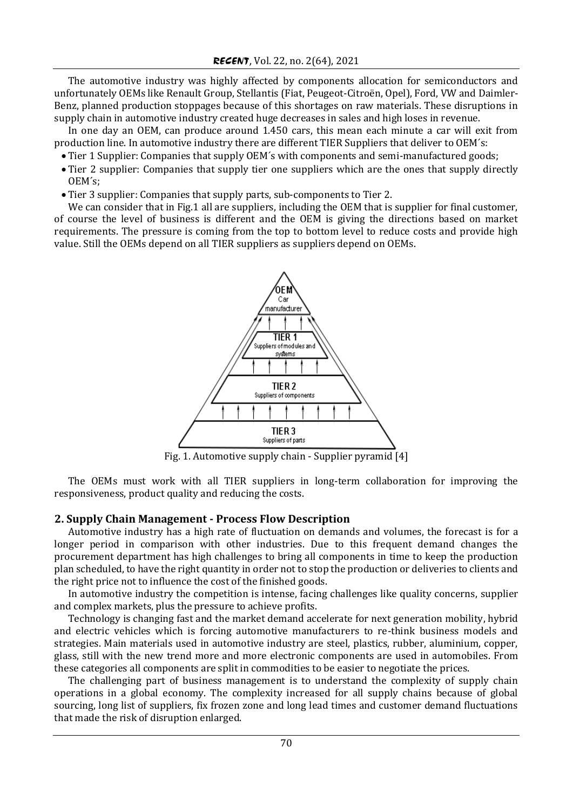The automotive industry was highly affected by components allocation for semiconductors and unfortunately OEMs like Renault Group, Stellantis (Fiat, Peugeot-Citroën, Opel), Ford, VW and Daimler-Benz, planned production stoppages because of this shortages on raw materials. These disruptions in supply chain in automotive industry created huge decreases in sales and high loses in revenue.

In one day an OEM, can produce around 1.450 cars, this mean each minute a car will exit from production line. In automotive industry there are different TIER Suppliers that deliver to OEM´s:

- Tier 1 Supplier: Companies that supply OEM´s with components and semi-manufactured goods;
- Tier 2 supplier: Companies that supply tier one suppliers which are the ones that supply directly OEM´s;
- Tier 3 supplier: Companies that supply parts, sub-components to Tier 2.

We can consider that in Fig.1 all are suppliers, including the OEM that is supplier for final customer, of course the level of business is different and the OEM is giving the directions based on market requirements. The pressure is coming from the top to bottom level to reduce costs and provide high value. Still the OEMs depend on all TIER suppliers as suppliers depend on OEMs.



Fig. 1. Automotive supply chain - Supplier pyramid [4]

The OEMs must work with all TIER suppliers in long-term collaboration for improving the responsiveness, product quality and reducing the costs.

### **2. Supply Chain Management - Process Flow Description**

Automotive industry has a high rate of fluctuation on demands and volumes, the forecast is for a longer period in comparison with other industries. Due to this frequent demand changes the procurement department has high challenges to bring all components in time to keep the production plan scheduled, to have the right quantity in order not to stop the production or deliveries to clients and the right price not to influence the cost of the finished goods.

In automotive industry the competition is intense, facing challenges like quality concerns, [supplier](https://www.infosysbpm.com/offerings/functions/sourcing-procurement-outsourcing/insights/documents/supplier-risk-in-procurement.pdf) and complex markets, plus the pressure to achieve profits.

Technology is changing fast and the market demand accelerate for next generation mobility, hybrid and electric vehicles which is forcing automotive manufacturers to re-think business models and strategies. Main materials used in automotive industry are steel, plastics, rubber, aluminium, copper, glass, still with the new trend more and more electronic components are used in automobiles. From these categories all components are split in commodities to be easier to negotiate the prices.

The challenging part of business management is to understand the complexity of supply chain operations in a global economy. The complexity increased for all supply chains because of global sourcing, long list of suppliers, fix frozen zone and long lead times and customer demand fluctuations that made the risk of disruption enlarged.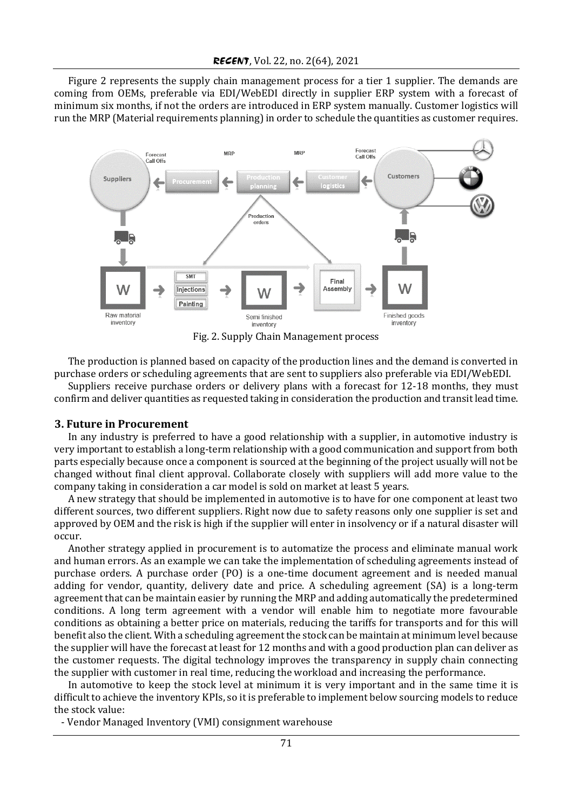Figure 2 represents the supply chain management process for a tier 1 supplier. The demands are coming from OEMs, preferable via EDI/WebEDI directly in supplier ERP system with a forecast of minimum six months, if not the orders are introduced in ERP system manually. Customer logistics will run the MRP (Material requirements planning) in order to schedule the quantities as customer requires.



Fig. 2. Supply Chain Management process

The production is planned based on capacity of the production lines and the demand is converted in purchase orders or scheduling agreements that are sent to suppliers also preferable via EDI/WebEDI.

Suppliers receive purchase orders or delivery plans with a forecast for 12-18 months, they must confirm and deliver quantities as requested taking in consideration the production and transit lead time.

#### **3. Future in Procurement**

In any industry is preferred to have a good relationship with a supplier, in automotive industry is very important to establish a long-term relationship with a good communication and support from both parts especially because once a component is sourced at the beginning of the project usually will not be changed without final client approval. Collaborate closely with suppliers will add more value to the company taking in consideration a car model is sold on market at least 5 years.

A new strategy that should be implemented in automotive is to have for one component at least two different sources, two different suppliers. Right now due to safety reasons only one supplier is set and approved by OEM and the risk is high if the supplier will enter in insolvency or if a natural disaster will occur.

Another strategy applied in procurement is to automatize the process and eliminate manual work and human errors. As an example we can take the implementation of scheduling agreements instead of purchase orders. A purchase order (PO) is a one-time document agreement and is needed manual adding for vendor, quantity, delivery date and price. A scheduling agreement (SA) is a long-term agreement that can be maintain easier by running the MRP and adding automatically the predetermined conditions. A long term agreement with a vendor will enable him to negotiate more favourable conditions as obtaining a better price on materials, reducing the tariffs for transports and for this will benefit also the client. With a scheduling agreement the stock can be maintain at minimum level because the supplier will have the forecast at least for 12 months and with a good production plan can deliver as the customer requests. The digital technology improves the transparency in supply chain connecting the supplier with customer in real time, reducing the workload and increasing the performance.

In automotive to keep the stock level at minimum it is very important and in the same time it is difficult to achieve the inventory KPIs, so it is preferable to implement below sourcing models to reduce the stock value:

- Vendor Managed Inventory (VMI) consignment warehouse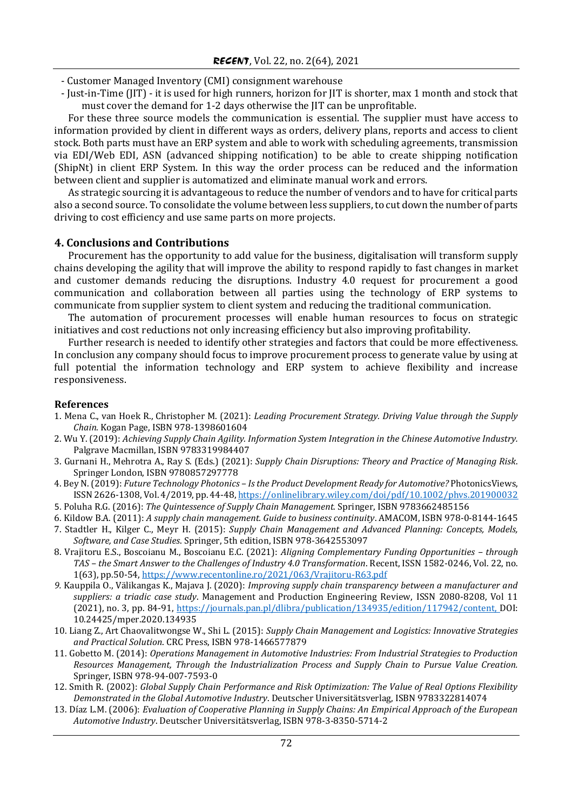- Customer Managed Inventory (CMI) consignment warehouse

- Just-in-Time (JIT) - it is used for high runners, horizon for JIT is shorter, max 1 month and stock that must cover the demand for 1-2 days otherwise the JIT can be unprofitable.

For these three source models the communication is essential. The supplier must have access to information provided by client in different ways as orders, delivery plans, reports and access to client stock. Both parts must have an ERP system and able to work with scheduling agreements, transmission via EDI/Web EDI, ASN (advanced shipping notification) to be able to create shipping notification (ShipNt) in client ERP System. In this way the order process can be reduced and the information between client and supplier is automatized and eliminate manual work and errors.

As strategic sourcing it is advantageous to reduce the number of vendors and to have for critical parts also a second source. To consolidate the volume between less suppliers, to cut down the number of parts driving to cost efficiency and use same parts on more projects.

# **4. Conclusions and Contributions**

Procurement has the opportunity to add value for the business, digitalisation will transform supply chains developing the agility that will improve the ability to respond rapidly to fast changes in market and customer demands reducing the disruptions. Industry 4.0 request for procurement a good communication and collaboration between all parties using the technology of ERP systems to communicate from supplier system to client system and reducing the traditional communication.

The automation of procurement processes will enable human resources to focus on strategic initiatives and cost reductions not only increasing efficiency but also improving profitability.

Further research is needed to identify other strategies and factors that could be more effectiveness. In conclusion any company should focus to improve procurement process to generate value by using at full potential the information technology and ERP system to achieve flexibility and increase responsiveness.

#### **References**

- 1. Mena C., van Hoek R., Christopher M. (2021): *Leading Procurement Strategy. Driving Value through the Supply Chain*. Kogan Page, ISBN 978-1398601604
- 2. Wu Y. (2019): *Achieving Supply Chain Agility. Information System Integration in the Chinese Automotive Industry.* Palgrave Macmillan, ISBN 9783319984407
- 3. Gurnani H., Mehrotra A., Ray S. (Eds.) (2021): *Supply Chain Disruptions: Theory and Practice of Managing Risk*. Springer London, ISBN 9780857297778
- 4. Bey N. (2019): *Future Technology Photonics – Is the Product Development Ready for Automotive?* PhotonicsViews, ISSN 2626-1308, Vol. 4/2019, pp. 44-48,<https://onlinelibrary.wiley.com/doi/pdf/10.1002/phvs.201900032>
- 5. Poluha R.G. (2016): *The Quintessence of Supply Chain Management.* Springer, ISBN 9783662485156
- 6. Kildow B.A. (2011): *A supply chain management. Guide to business continuity*. AMACOM, ISBN 978-0-8144-1645
- 7. Stadtler H., Kilger C., Meyr H. (2015): *Supply Chain Management and Advanced Planning: Concepts, Models, Software, and Case Studies*. Springer, 5th edition, ISBN 978-3642553097
- 8. Vrajitoru E.S., Boscoianu M., Boscoianu E.C. (2021): *Aligning Complementary Funding Opportunities – through TAS – the Smart Answer to the Challenges of Industry 4.0 Transformation*. Recent, ISSN 1582-0246, Vol. 22, no. 1(63), pp.50-54,<https://www.recentonline.ro/2021/063/Vrajitoru-R63.pdf>
- *9.* Kauppila O., Välikangas K., Majava J. (2020): *Improving supply chain transparency between a manufacturer and suppliers: a triadic case study*. Management and Production Engineering Review, ISSN 2080-8208, Vol 11 (2021), no. 3, pp. 84-91, [https://journals.pan.pl/dlibra/publication/134935/edition/117942/content,](https://journals.pan.pl/dlibra/publication/134935/edition/117942/content) DOI: 10.24425/mper.2020.134935
- 10. Liang Z., Art Chaovalitwongse W., Shi L. (2015): *Supply Chain Management and Logistics: Innovative Strategies and Practical Solution*. CRC Press, ISBN 978-1466577879
- 11. Gobetto M. (2014): *Operations Management in Automotive Industries: From Industrial Strategies to Production Resources Management, Through the Industrialization Process and Supply Chain to Pursue Value Creation.*  Springer, ISBN 978-94-007-7593-0
- 12. Smith R. (2002): *Global Supply Chain Performance and Risk Optimization: The Value of Real Options Flexibility Demonstrated in the Global Automotive Industry*. Deutscher Universitätsverlag, ISBN 9783322814074
- 13. Díaz L.M. (2006): *Evaluation of Cooperative Planning in Supply Chains: An Empirical Approach of the European Automotive Industry*. Deutscher Universitätsverlag, ISBN 978-3-8350-5714-2